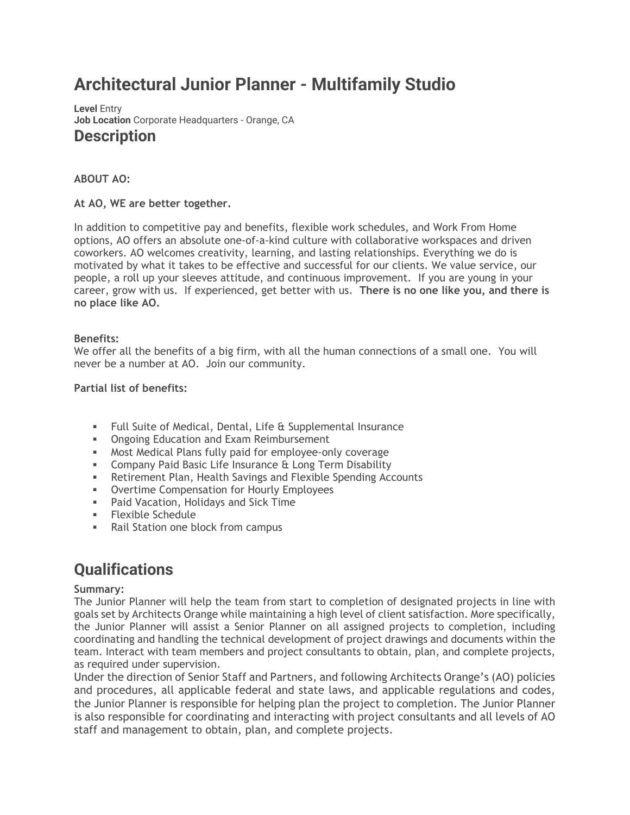# **Architectural Junior Planner - Multifamily Studio**

**Level** Entry **Job Location** Corporate Headquarters - Orange, CA **Description**

# **ABOUT AO:**

# **At AO, WE are better together.**

In addition to competitive pay and benefits, flexible work schedules, and Work From Home options, AO offers an absolute one-of-a-kind culture with collaborative workspaces and driven coworkers. AO welcomes creativity, learning, and lasting relationships. Everything we do is motivated by what it takes to be effective and successful for our clients. We value service, our people, a roll up your sleeves attitude, and continuous improvement. If you are young in your career, grow with us. If experienced, get better with us. **There is no one like you, and there is no place like AO.**

# **Benefits:**

We offer all the benefits of a big firm, with all the human connections of a small one. You will never be a number at AO. Join our community.

# **Partial list of benefits:**

- Full Suite of Medical, Dental, Life & Supplemental Insurance
- **Ongoing Education and Exam Reimbursement**
- Most Medical Plans fully paid for employee-only coverage
- **EXEDENCIPE Insurance & Long Term Disability**
- **EXECT** Retirement Plan, Health Savings and Flexible Spending Accounts
- Overtime Compensation for Hourly Employees
- Paid Vacation, Holidays and Sick Time
- **Elexible Schedule**
- Rail Station one block from campus

# **Qualifications**

### **Summary:**

The Junior Planner will help the team from start to completion of designated projects in line with goals set by Architects Orange while maintaining a high level of client satisfaction. More specifically, the Junior Planner will assist a Senior Planner on all assigned projects to completion, including coordinating and handling the technical development of project drawings and documents within the team. Interact with team members and project consultants to obtain, plan, and complete projects, as required under supervision.

Under the direction of Senior Staff and Partners, and following Architects Orange's (AO) policies and procedures, all applicable federal and state laws, and applicable regulations and codes, the Junior Planner is responsible for helping plan the project to completion. The Junior Planner is also responsible for coordinating and interacting with project consultants and all levels of AO staff and management to obtain, plan, and complete projects.